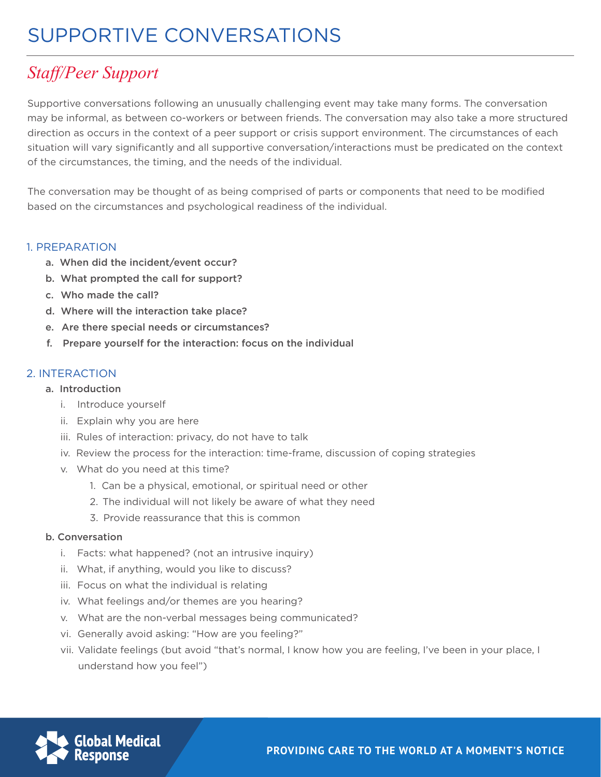# *Staff/Peer Support*

Supportive conversations following an unusually challenging event may take many forms. The conversation may be informal, as between co-workers or between friends. The conversation may also take a more structured direction as occurs in the context of a peer support or crisis support environment. The circumstances of each situation will vary significantly and all supportive conversation/interactions must be predicated on the context of the circumstances, the timing, and the needs of the individual.

The conversation may be thought of as being comprised of parts or components that need to be modified based on the circumstances and psychological readiness of the individual.

#### 1. PREPARATION

- a. When did the incident/event occur?
- b. What prompted the call for support?
- c. Who made the call?
- d. Where will the interaction take place?
- e. Are there special needs or circumstances?
- f. Prepare yourself for the interaction: focus on the individual

### 2. INTERACTION

#### a. Introduction

- i. Introduce yourself
- ii. Explain why you are here
- iii. Rules of interaction: privacy, do not have to talk
- iv. Review the process for the interaction: time-frame, discussion of coping strategies
- v. What do you need at this time?
	- 1. Can be a physical, emotional, or spiritual need or other
	- 2. The individual will not likely be aware of what they need
	- 3. Provide reassurance that this is common

#### b. Conversation

- i. Facts: what happened? (not an intrusive inquiry)
- ii. What, if anything, would you like to discuss?
- iii. Focus on what the individual is relating
- iv. What feelings and/or themes are you hearing?
- v. What are the non-verbal messages being communicated?
- vi. Generally avoid asking: "How are you feeling?"
- vii. Validate feelings (but avoid "that's normal, I know how you are feeling, I've been in your place, I understand how you feel")